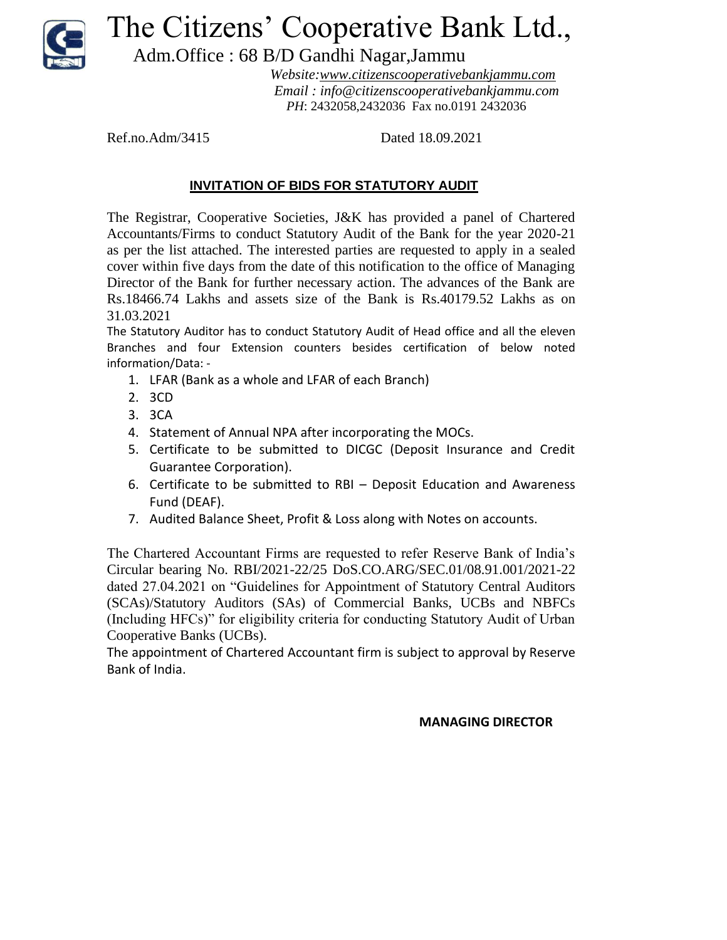

## The Citizens' Cooperative Bank Ltd.,

Adm.Office : 68 B/D Gandhi Nagar,Jammu

 *Website:www.citizenscooperativebankjammu.com Email : info@citizenscooperativebankjammu.com PH*: 2432058,2432036 Fax no.0191 2432036

Ref.no.Adm/3415 Dated 18.09.2021

## **INVITATION OF BIDS FOR STATUTORY AUDIT**

The Registrar, Cooperative Societies, J&K has provided a panel of Chartered Accountants/Firms to conduct Statutory Audit of the Bank for the year 2020-21 as per the list attached. The interested parties are requested to apply in a sealed cover within five days from the date of this notification to the office of Managing Director of the Bank for further necessary action. The advances of the Bank are Rs.18466.74 Lakhs and assets size of the Bank is Rs.40179.52 Lakhs as on 31.03.2021

The Statutory Auditor has to conduct Statutory Audit of Head office and all the eleven Branches and four Extension counters besides certification of below noted information/Data: -

- 1. LFAR (Bank as a whole and LFAR of each Branch)
- 2. 3CD
- 3. 3CA
- 4. Statement of Annual NPA after incorporating the MOCs.
- 5. Certificate to be submitted to DICGC (Deposit Insurance and Credit Guarantee Corporation).
- 6. Certificate to be submitted to RBI Deposit Education and Awareness Fund (DEAF).
- 7. Audited Balance Sheet, Profit & Loss along with Notes on accounts.

The Chartered Accountant Firms are requested to refer Reserve Bank of India's Circular bearing No. RBI/2021-22/25 DoS.CO.ARG/SEC.01/08.91.001/2021-22 dated 27.04.2021 on "Guidelines for Appointment of Statutory Central Auditors (SCAs)/Statutory Auditors (SAs) of Commercial Banks, UCBs and NBFCs (Including HFCs)" for eligibility criteria for conducting Statutory Audit of Urban Cooperative Banks (UCBs).

The appointment of Chartered Accountant firm is subject to approval by Reserve Bank of India.

## **MANAGING DIRECTOR**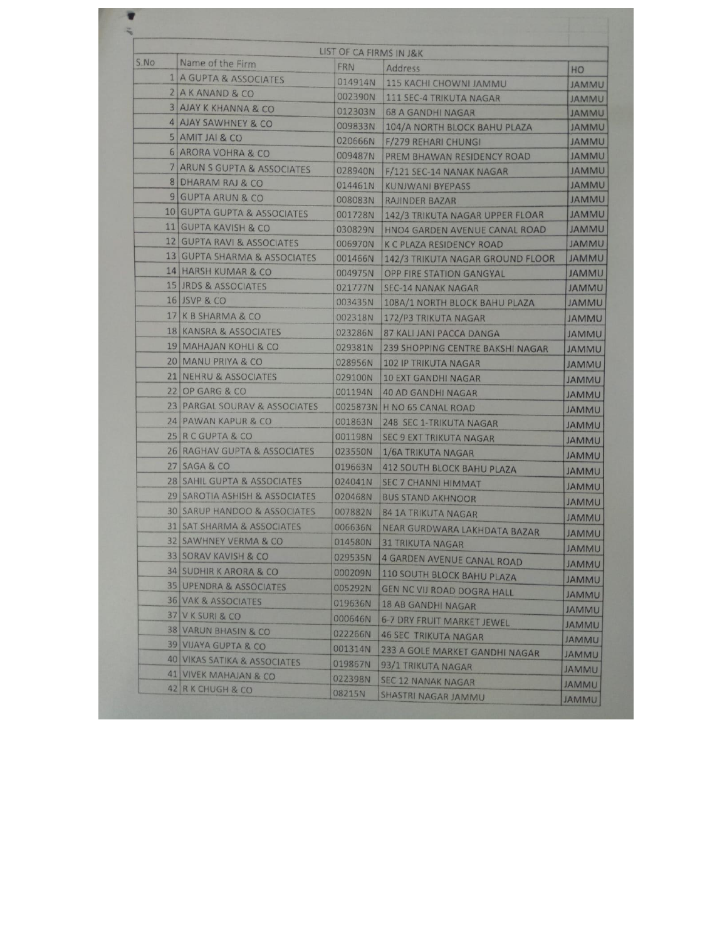|      |                                         | LIST OF CA FIRMS IN J&K |                                   |                              |
|------|-----------------------------------------|-------------------------|-----------------------------------|------------------------------|
| S.NO | Name of the Firm                        | FRN                     | Address                           | HO                           |
|      | 1 A GUPTA & ASSOCIATES                  | 014914N                 | 115 KACHI CHOWNI JAMMU            | <b>JAMMU</b>                 |
|      | 2 A K ANAND & CO                        | 002390N                 | 111 SEC-4 TRIKUTA NAGAR           | <b>JAMMU</b>                 |
|      | <b>3 AJAY K KHANNA &amp; CO</b>         | 012303N                 | <b>68 A GANDHI NAGAR</b>          | <b>JAMMU</b>                 |
|      | 4 AJAY SAWHNEY & CO                     | 009833N                 | 104/A NORTH BLOCK BAHU PLAZA      | <b>JAMMU</b>                 |
|      | 5 AMIT JAI & CO                         | 020666N                 | F/279 REHARI CHUNGI               | <b>JAMMU</b>                 |
|      | <b>6 ARORA VOHRA &amp; CO</b>           | 009487N                 | <b>PREM BHAWAN RESIDENCY ROAD</b> | <b>JAMMU</b>                 |
|      | 7 ARUN S GUPTA & ASSOCIATES             | 028940N                 | F/121 SEC-14 NANAK NAGAR          | <b>JAMMU</b>                 |
|      | 8 DHARAM RAJ & CO                       | 014461N                 | <b>KUNJWANI BYEPASS</b>           | <b>JAMMU</b>                 |
|      | 9 GUPTA ARUN & CO                       | 008083N                 | RAJINDER BAZAR                    | <b>JAMMU</b>                 |
|      | 10 GUPTA GUPTA & ASSOCIATES             | 001728N                 | 142/3 TRIKUTA NAGAR UPPER FLOAR   | <b>JAMMU</b>                 |
|      | 11 GUPTA KAVISH & CO                    | 030829N                 | HNO4 GARDEN AVENUE CANAL ROAD     | <b>JAMMU</b>                 |
|      | 12 GUPTA RAVI & ASSOCIATES              | 006970N                 | <b>K C PLAZA RESIDENCY ROAD</b>   | <b>JAMMU</b>                 |
|      | 13 GUPTA SHARMA & ASSOCIATES            | 001466N                 | 142/3 TRIKUTA NAGAR GROUND FLOOR  | <b>JAMMU</b>                 |
|      | 14 HARSH KUMAR & CO                     | 004975N                 | <b>OPP FIRE STATION GANGYAL</b>   | <b>JAMMU</b>                 |
|      | 15 JRDS & ASSOCIATES                    | 021777N                 | <b>SEC-14 NANAK NAGAR</b>         | JAMMU                        |
|      | 16 JSVP & CO                            | 003435N                 | 108A/1 NORTH BLOCK BAHU PLAZA     | <b>JAMMU</b>                 |
|      | 17 K B SHARMA & CO                      | 002318N                 | 172/P3 TRIKUTA NAGAR              | <b>UMMAL</b>                 |
|      | 18 KANSRA & ASSOCIATES                  | 023286N                 | 87 KALI JANI PACCA DANGA          | <b>JAMMU</b>                 |
|      | 19 MAHAJAN KOHLI & CO.                  | 029381N                 | 239 SHOPPING CENTRE BAKSHI NAGAR  | <b>JAMMU</b>                 |
|      | 20 MANU PRIYA & CO                      | 028956N                 | <b>102 IP TRIKUTA NAGAR</b>       | <b>JAMMU</b>                 |
|      | 21 NEHRU & ASSOCIATES                   | 029100N                 | <b>10 EXT GANDHI NAGAR</b>        | <b>JAMMU</b>                 |
|      | 22 OP GARG & CO                         | 001194N                 | <b>40 AD GANDHI NAGAR</b>         | <b>UMMAL</b>                 |
|      | 23 PARGAL SOURAV & ASSOCIATES           |                         | 0025873N H NO 65 CANAL ROAD       | <b>JAMMU</b>                 |
|      | 24 PAWAN KAPUR & CO                     | 001863N                 | 248 SEC 1-TRIKUTA NAGAR           | <b>JAMMU</b>                 |
|      | 25 R C GUPTA & CO                       | 001198N                 | <b>SEC 9 EXT TRIKUTA NAGAR</b>    | <b>UMMAL</b>                 |
|      | 26 RAGHAV GUPTA & ASSOCIATES            | 023550N                 | 1/6A TRIKUTA NAGAR                | <b>JAMMU</b>                 |
|      | 27 SAGA & CO                            | 019663N                 | <b>412 SOUTH BLOCK BAHU PLAZA</b> | <b>JAMMU</b>                 |
|      | 28 SAHIL GUPTA & ASSOCIATES             | 024041N                 | <b>SEC 7 CHANNI HIMMAT</b>        | <b>JAMMU</b>                 |
|      | 29 SAROTIA ASHISH & ASSOCIATES          | 020468N                 | <b>BUS STAND AKHNOOR</b>          | <b><i>JAMMU</i></b>          |
|      | <b>30 SARUP HANDOO &amp; ASSOCIATES</b> | 007882N                 | 84 1A TRIKUTA NAGAR               | <b>JAMMU</b>                 |
|      | 31 SAT SHARMA & ASSOCIATES              | 006636N                 | NEAR GURDWARA LAKHDATA BAZAR      | <b>UMMAL</b>                 |
|      | 32 SAWHNEY VERMA & CO                   | 014580N                 | <b>31 TRIKUTA NAGAR</b>           |                              |
|      | 33 SORAV KAVISH & CO                    | 029535N                 | 4 GARDEN AVENUE CANAL ROAD        | <b>JAMMU</b>                 |
|      | <b>34 SUDHIR K ARORA &amp; CO</b>       | 000209N                 | <b>110 SOUTH BLOCK BAHU PLAZA</b> | <b>JAMMU</b>                 |
|      | <b>35 UPENDRA &amp; ASSOCIATES</b>      | 005292N                 | GEN NC VIJ ROAD DOGRA HALL        | <b>UMMAL</b>                 |
|      | <b>36 VAK &amp; ASSOCIATES</b>          | 019636N                 | <b>18 AB GANDHI NAGAR</b>         | <b>JAMMU</b>                 |
|      | 37 V K SURI & CO                        | 000646N                 | 6-7 DRY FRUIT MARKET JEWEL        | <b>JAMMU</b>                 |
|      | 38 VARUN BHASIN & CO                    | 022266N                 | <b>46 SEC TRIKUTA NAGAR</b>       | <b>JAMMU</b>                 |
|      | 39 VIJAYA GUPTA & CO                    | 001314N                 | 233 A GOLE MARKET GANDHI NAGAR    | <b>JAMMU</b>                 |
|      | 40 VIKAS SATIKA & ASSOCIATES            | 019867N                 | 93/1 TRIKUTA NAGAR                | <b>JAMMU</b>                 |
|      | 41 VIVEK MAHAJAN & CO                   | 022398N                 | <b>SEC 12 NANAK NAGAR</b>         | <b>JAMMU</b>                 |
|      | 42 R K CHUGH & CO                       | 08215N                  | SHASTRI NAGAR JAMMU               | <b>JAMMU</b><br><b>UMMAL</b> |